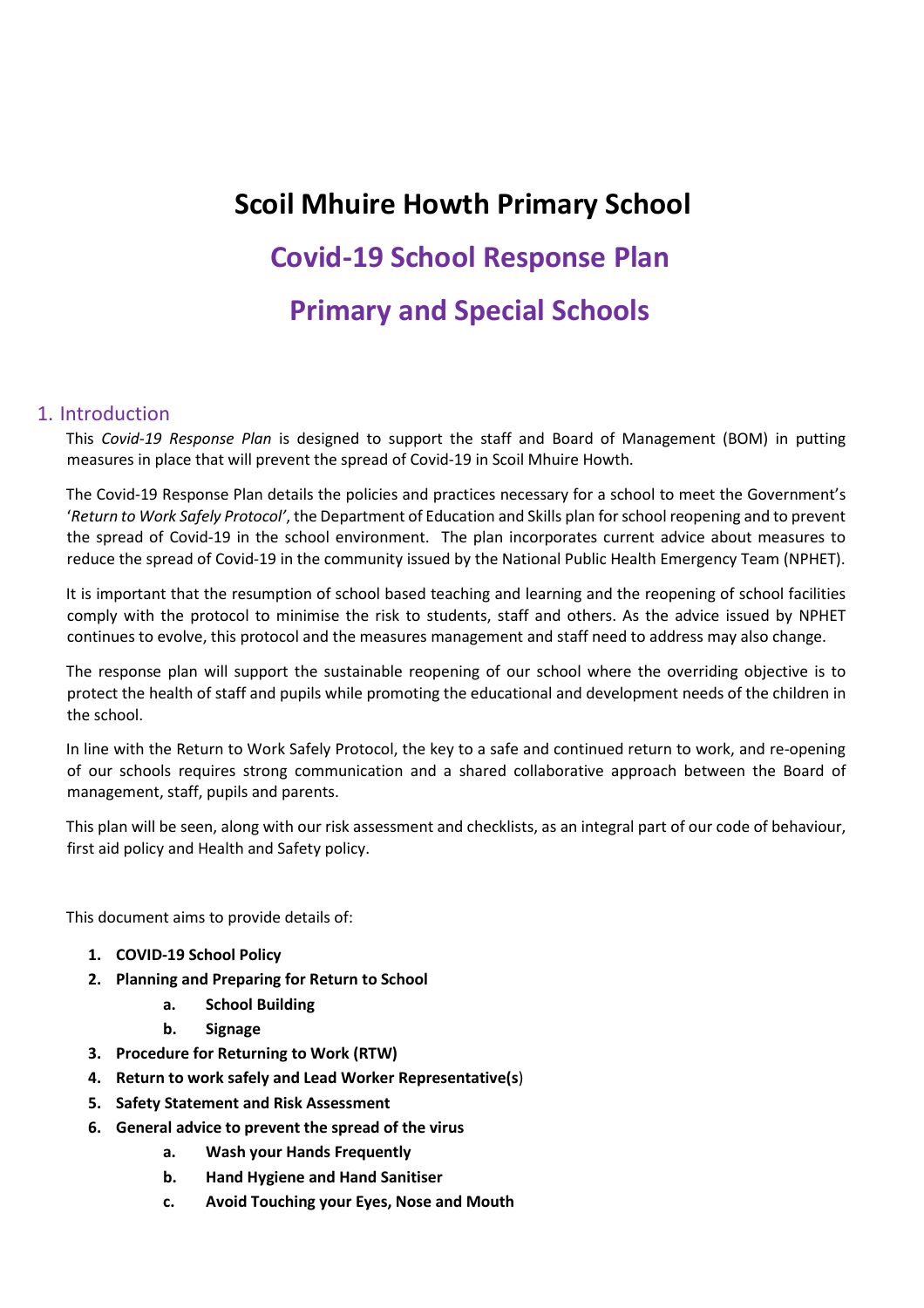# **Scoil Mhuire Howth Primary School Covid-19 School Response Plan Primary and Special Schools**

## 1. Introduction

This *Covid-19 Response Plan* is designed to support the staff and Board of Management (BOM) in putting measures in place that will prevent the spread of Covid-19 in Scoil Mhuire Howth.

The Covid-19 Response Plan details the policies and practices necessary for a school to meet the Government's '*Return to Work Safely Protocol'*, the Department of Education and Skills plan for school reopening and to prevent the spread of Covid-19 in the school environment. The plan incorporates current advice about measures to reduce the spread of Covid-19 in the community issued by the National Public Health Emergency Team (NPHET).

It is important that the resumption of school based teaching and learning and the reopening of school facilities comply with the protocol to minimise the risk to students, staff and others. As the advice issued by NPHET continues to evolve, this protocol and the measures management and staff need to address may also change.

The response plan will support the sustainable reopening of our school where the overriding objective is to protect the health of staff and pupils while promoting the educational and development needs of the children in the school.

In line with the Return to Work Safely Protocol, the key to a safe and continued return to work, and re-opening of our schools requires strong communication and a shared collaborative approach between the Board of management, staff, pupils and parents.

This plan will be seen, along with our risk assessment and checklists, as an integral part of our code of behaviour, first aid policy and Health and Safety policy.

This document aims to provide details of:

- **1. COVID-19 School Policy**
- **2. Planning and Preparing for Return to School** 
	- **a. School Building**
	- **b. Signage**
- **3. Procedure for Returning to Work (RTW)**
- **4. Return to work safely and Lead Worker Representative(s**)
- **5. Safety Statement and Risk Assessment**
- **6. General advice to prevent the spread of the virus** 
	- **a. Wash your Hands Frequently**
	- **b. Hand Hygiene and Hand Sanitiser**
	- **c. Avoid Touching your Eyes, Nose and Mouth**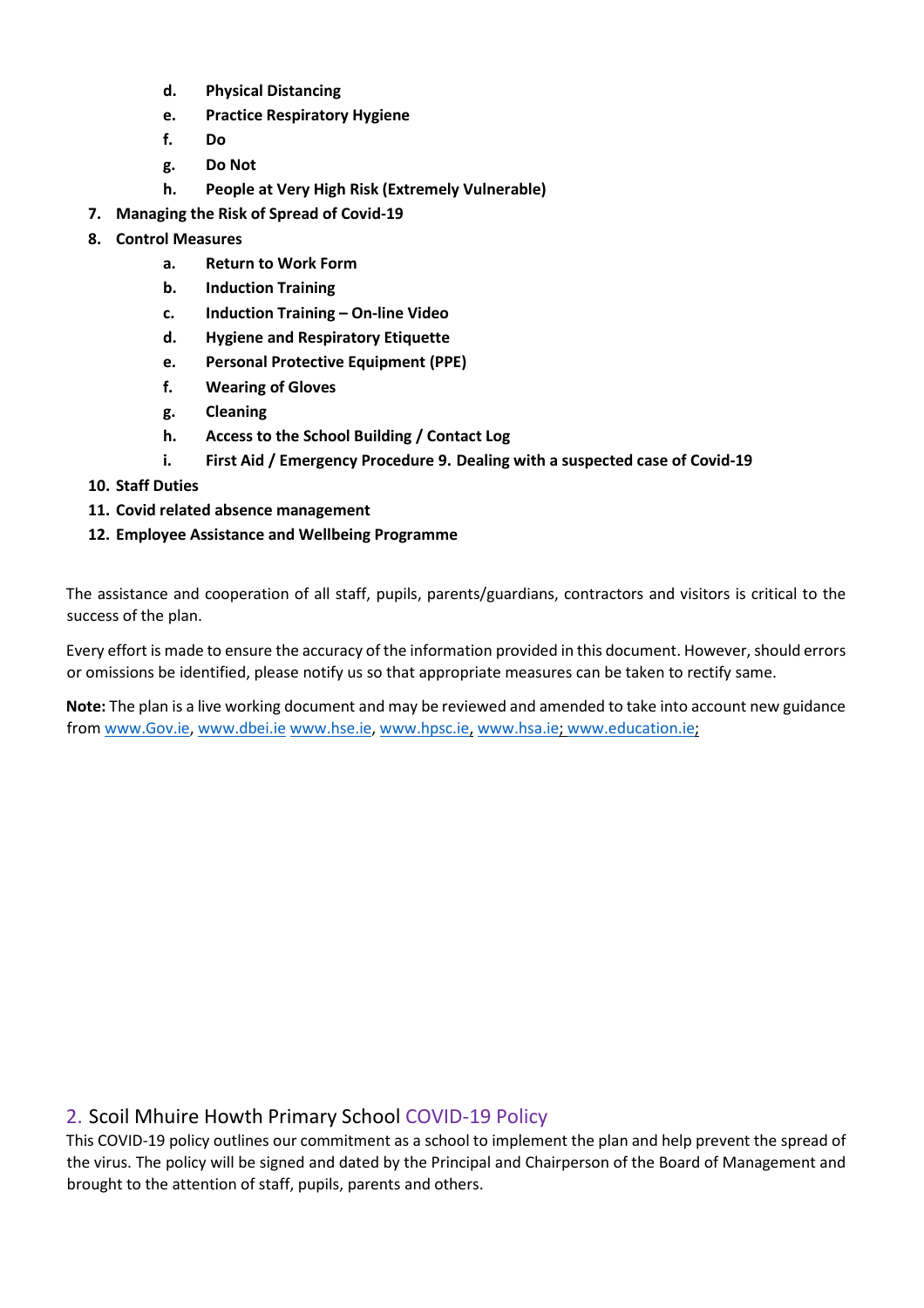- **d. Physical Distancing**
- **e. Practice Respiratory Hygiene**
- **f. Do**
- **g. Do Not**
- **h. People at Very High Risk (Extremely Vulnerable)**
- **7. Managing the Risk of Spread of Covid-19**
- **8. Control Measures** 
	- **a. Return to Work Form**
	- **b. Induction Training**
	- **c. Induction Training On-line Video**
	- **d. Hygiene and Respiratory Etiquette**
	- **e. Personal Protective Equipment (PPE)**
	- **f. Wearing of Gloves**
	- **g. Cleaning**
	- **h. Access to the School Building / Contact Log**
	- **i. First Aid / Emergency Procedure 9. Dealing with a suspected case of Covid-19**
- **10. Staff Duties**
- **11. Covid related absence management**
- **12. Employee Assistance and Wellbeing Programme**

The assistance and cooperation of all staff, pupils, parents/guardians, contractors and visitors is critical to the success of the plan.

Every effort is made to ensure the accuracy of the information provided in this document. However, should errors or omissions be identified, please notify us so that appropriate measures can be taken to rectify same.

**Note:** The plan is a live working document and may be reviewed and amended to take into account new guidance from www.Gov.ie, www.dbei.ie www.hse.ie, www.hpsc.ie, www.hsa.ie; www.education.ie;

# 2. Scoil Mhuire Howth Primary School COVID-19 Policy

This COVID-19 policy outlines our commitment as a school to implement the plan and help prevent the spread of the virus. The policy will be signed and dated by the Principal and Chairperson of the Board of Management and brought to the attention of staff, pupils, parents and others.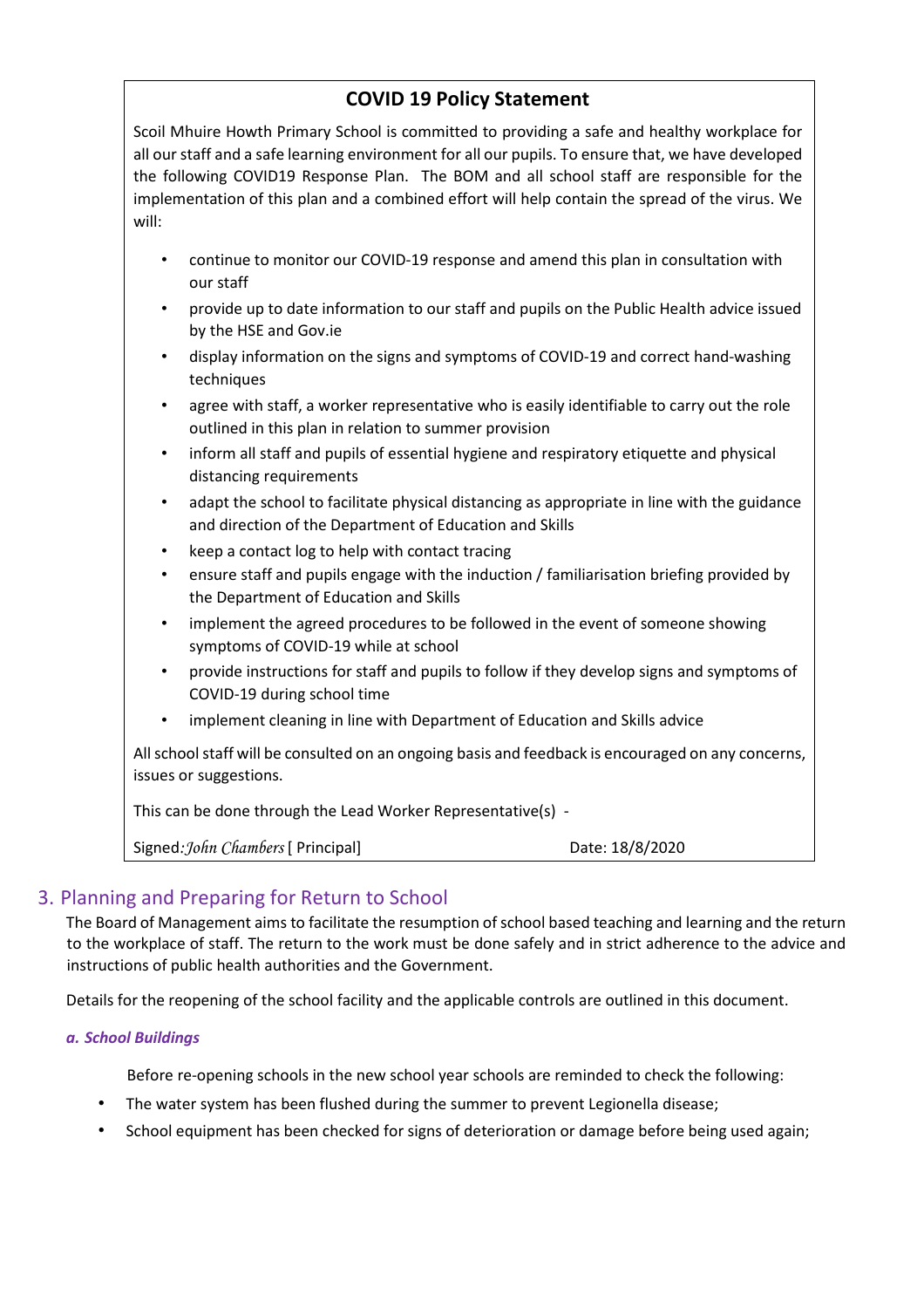# **COVID 19 Policy Statement**

Scoil Mhuire Howth Primary School is committed to providing a safe and healthy workplace for all our staff and a safe learning environment for all our pupils. To ensure that, we have developed the following COVID19 Response Plan. The BOM and all school staff are responsible for the implementation of this plan and a combined effort will help contain the spread of the virus. We will:

- continue to monitor our COVID-19 response and amend this plan in consultation with our staff
- provide up to date information to our staff and pupils on the Public Health advice issued by the HSE and Gov.ie
- display information on the signs and symptoms of COVID-19 and correct hand-washing techniques
- agree with staff, a worker representative who is easily identifiable to carry out the role outlined in this plan in relation to summer provision
- inform all staff and pupils of essential hygiene and respiratory etiquette and physical distancing requirements
- adapt the school to facilitate physical distancing as appropriate in line with the guidance and direction of the Department of Education and Skills
- keep a contact log to help with contact tracing
- ensure staff and pupils engage with the induction / familiarisation briefing provided by the Department of Education and Skills
- implement the agreed procedures to be followed in the event of someone showing symptoms of COVID-19 while at school
- provide instructions for staff and pupils to follow if they develop signs and symptoms of COVID-19 during school time
- implement cleaning in line with Department of Education and Skills advice

All school staff will be consulted on an ongoing basis and feedback is encouraged on any concerns, issues or suggestions.

This can be done through the Lead Worker Representative(s) -

Signed: John Chambers [ Principal] Date: 18/8/2020

# 3. Planning and Preparing for Return to School

The Board of Management aims to facilitate the resumption of school based teaching and learning and the return to the workplace of staff. The return to the work must be done safely and in strict adherence to the advice and instructions of public health authorities and the Government.

Details for the reopening of the school facility and the applicable controls are outlined in this document.

## *a. School Buildings*

Before re-opening schools in the new school year schools are reminded to check the following:

- The water system has been flushed during the summer to prevent Legionella disease;
- School equipment has been checked for signs of deterioration or damage before being used again;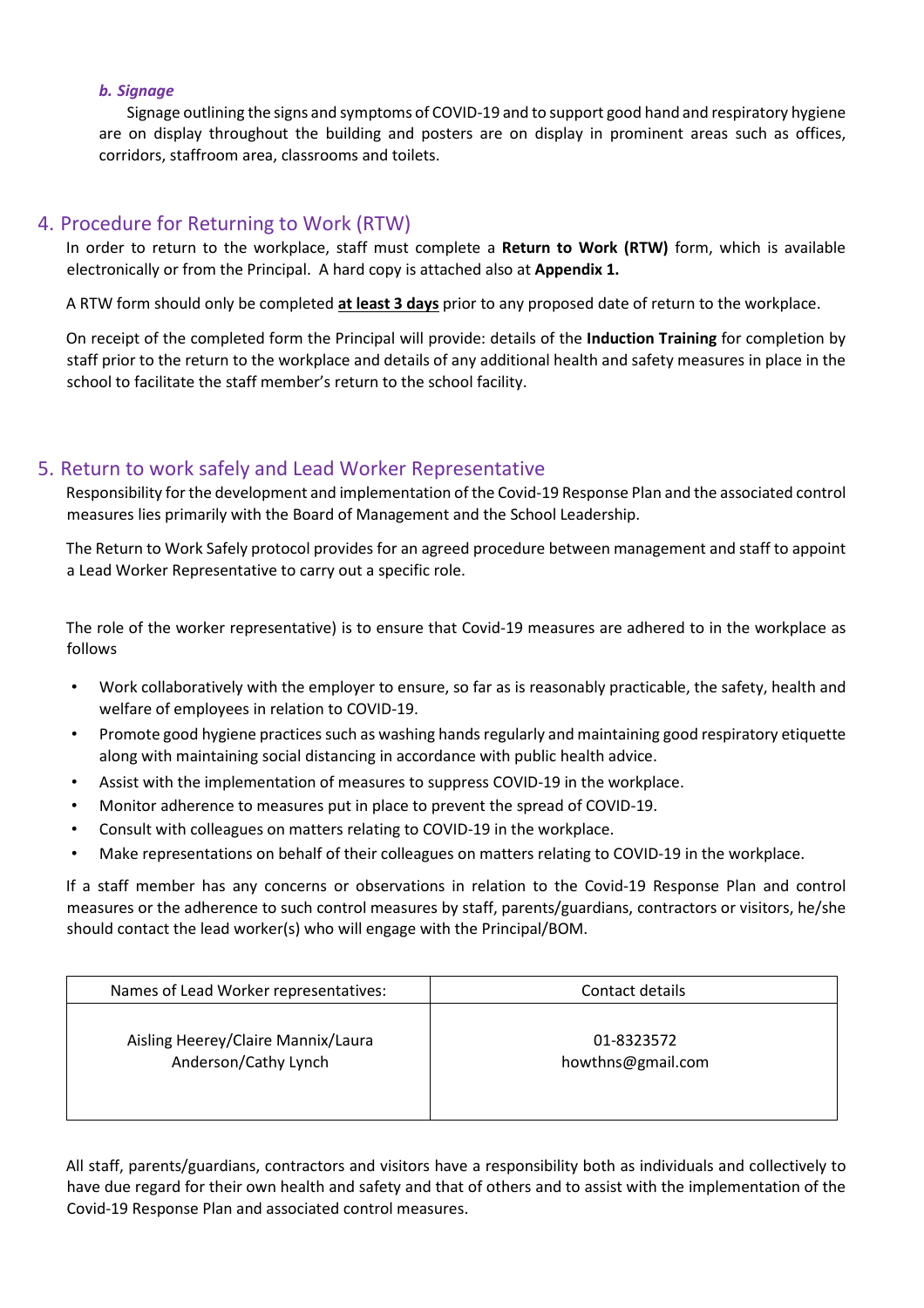## *b. Signage*

Signage outlining the signs and symptoms of COVID-19 and to support good hand and respiratory hygiene are on display throughout the building and posters are on display in prominent areas such as offices, corridors, staffroom area, classrooms and toilets.

# 4. Procedure for Returning to Work (RTW)

In order to return to the workplace, staff must complete a **Return to Work (RTW)** form, which is available electronically or from the Principal. A hard copy is attached also at **Appendix 1.**

A RTW form should only be completed **at least 3 days** prior to any proposed date of return to the workplace.

On receipt of the completed form the Principal will provide: details of the **Induction Training** for completion by staff prior to the return to the workplace and details of any additional health and safety measures in place in the school to facilitate the staff member's return to the school facility.

# 5. Return to work safely and Lead Worker Representative

Responsibility for the development and implementation of the Covid-19 Response Plan and the associated control measures lies primarily with the Board of Management and the School Leadership.

The Return to Work Safely protocol provides for an agreed procedure between management and staff to appoint a Lead Worker Representative to carry out a specific role.

The role of the worker representative) is to ensure that Covid-19 measures are adhered to in the workplace as follows

- Work collaboratively with the employer to ensure, so far as is reasonably practicable, the safety, health and welfare of employees in relation to COVID-19.
- Promote good hygiene practices such as washing hands regularly and maintaining good respiratory etiquette along with maintaining social distancing in accordance with public health advice.
- Assist with the implementation of measures to suppress COVID-19 in the workplace.
- Monitor adherence to measures put in place to prevent the spread of COVID-19.
- Consult with colleagues on matters relating to COVID-19 in the workplace.
- Make representations on behalf of their colleagues on matters relating to COVID-19 in the workplace.

If a staff member has any concerns or observations in relation to the Covid-19 Response Plan and control measures or the adherence to such control measures by staff, parents/guardians, contractors or visitors, he/she should contact the lead worker(s) who will engage with the Principal/BOM.

| Names of Lead Worker representatives: | Contact details   |
|---------------------------------------|-------------------|
| Aisling Heerey/Claire Mannix/Laura    | 01-8323572        |
| Anderson/Cathy Lynch                  | howthns@gmail.com |

All staff, parents/guardians, contractors and visitors have a responsibility both as individuals and collectively to have due regard for their own health and safety and that of others and to assist with the implementation of the Covid-19 Response Plan and associated control measures.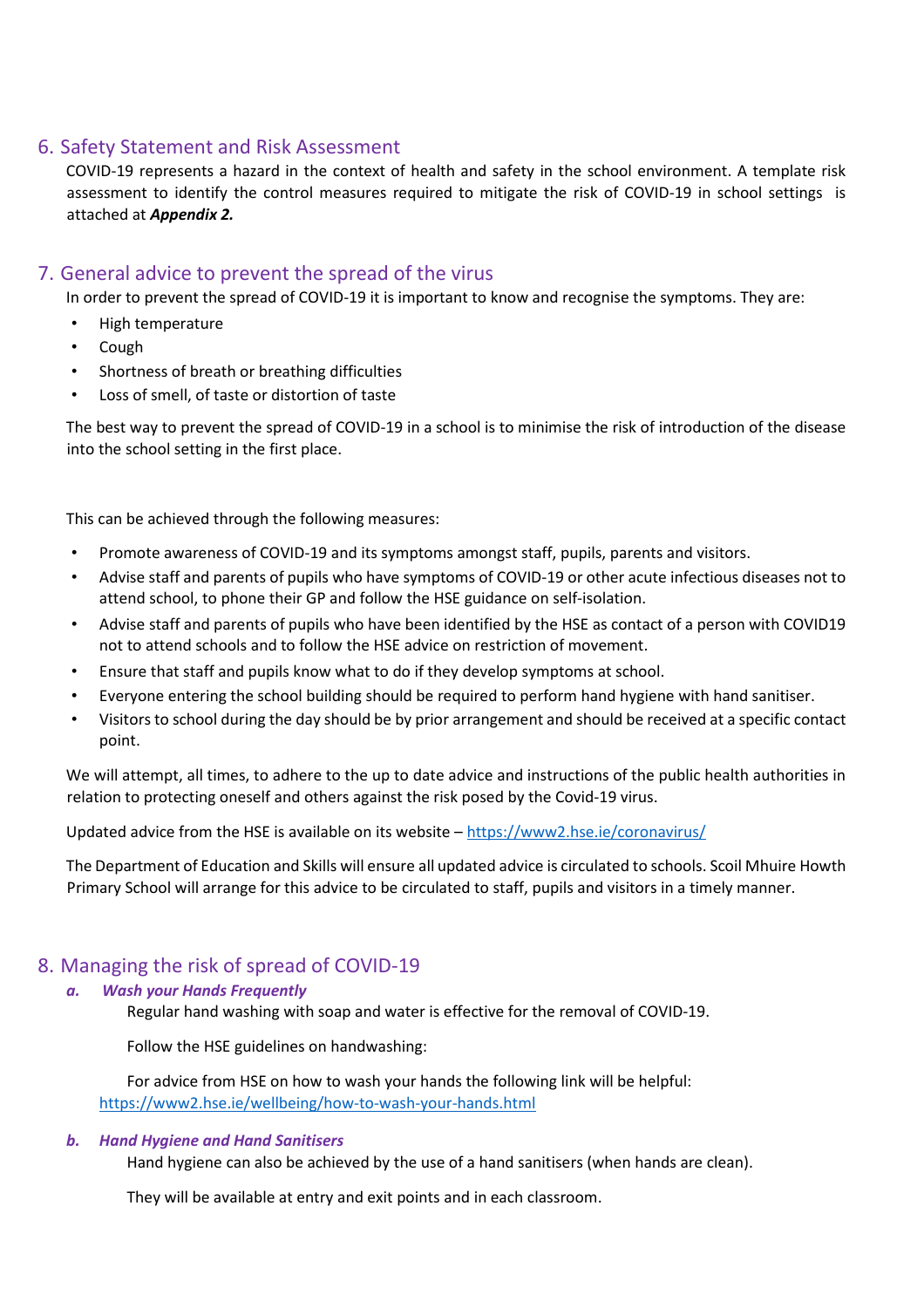# 6. Safety Statement and Risk Assessment

COVID-19 represents a hazard in the context of health and safety in the school environment. A template risk assessment to identify the control measures required to mitigate the risk of COVID-19 in school settings is attached at *Appendix 2.*

# 7. General advice to prevent the spread of the virus

In order to prevent the spread of COVID-19 it is important to know and recognise the symptoms. They are:

- High temperature
- Cough
- Shortness of breath or breathing difficulties
- Loss of smell, of taste or distortion of taste

The best way to prevent the spread of COVID-19 in a school is to minimise the risk of introduction of the disease into the school setting in the first place.

This can be achieved through the following measures:

- Promote awareness of COVID-19 and its symptoms amongst staff, pupils, parents and visitors.
- Advise staff and parents of pupils who have symptoms of COVID-19 or other acute infectious diseases not to attend school, to phone their GP and follow the HSE guidance on self-isolation.
- Advise staff and parents of pupils who have been identified by the HSE as contact of a person with COVID19 not to attend schools and to follow the HSE advice on restriction of movement.
- Ensure that staff and pupils know what to do if they develop symptoms at school.
- Everyone entering the school building should be required to perform hand hygiene with hand sanitiser.
- Visitors to school during the day should be by prior arrangement and should be received at a specific contact point.

We will attempt, all times, to adhere to the up to date advice and instructions of the public health authorities in relation to protecting oneself and others against the risk posed by the Covid-19 virus.

Updated advice from the HSE is available on its website – https://www2.hse.ie/coronavirus/

The Department of Education and Skills will ensure all updated advice is circulated to schools. Scoil Mhuire Howth Primary School will arrange for this advice to be circulated to staff, pupils and visitors in a timely manner.

# 8. Managing the risk of spread of COVID-19

## *a.**Wash your Hands Frequently*

Regular hand washing with soap and water is effective for the removal of COVID-19.

Follow the HSE guidelines on handwashing:

For advice from HSE on how to wash your hands the following link will be helpful: https://www2.hse.ie/wellbeing/how-to-wash-your-hands.html

## *b.**Hand Hygiene and Hand Sanitisers*

Hand hygiene can also be achieved by the use of a hand sanitisers (when hands are clean).

They will be available at entry and exit points and in each classroom.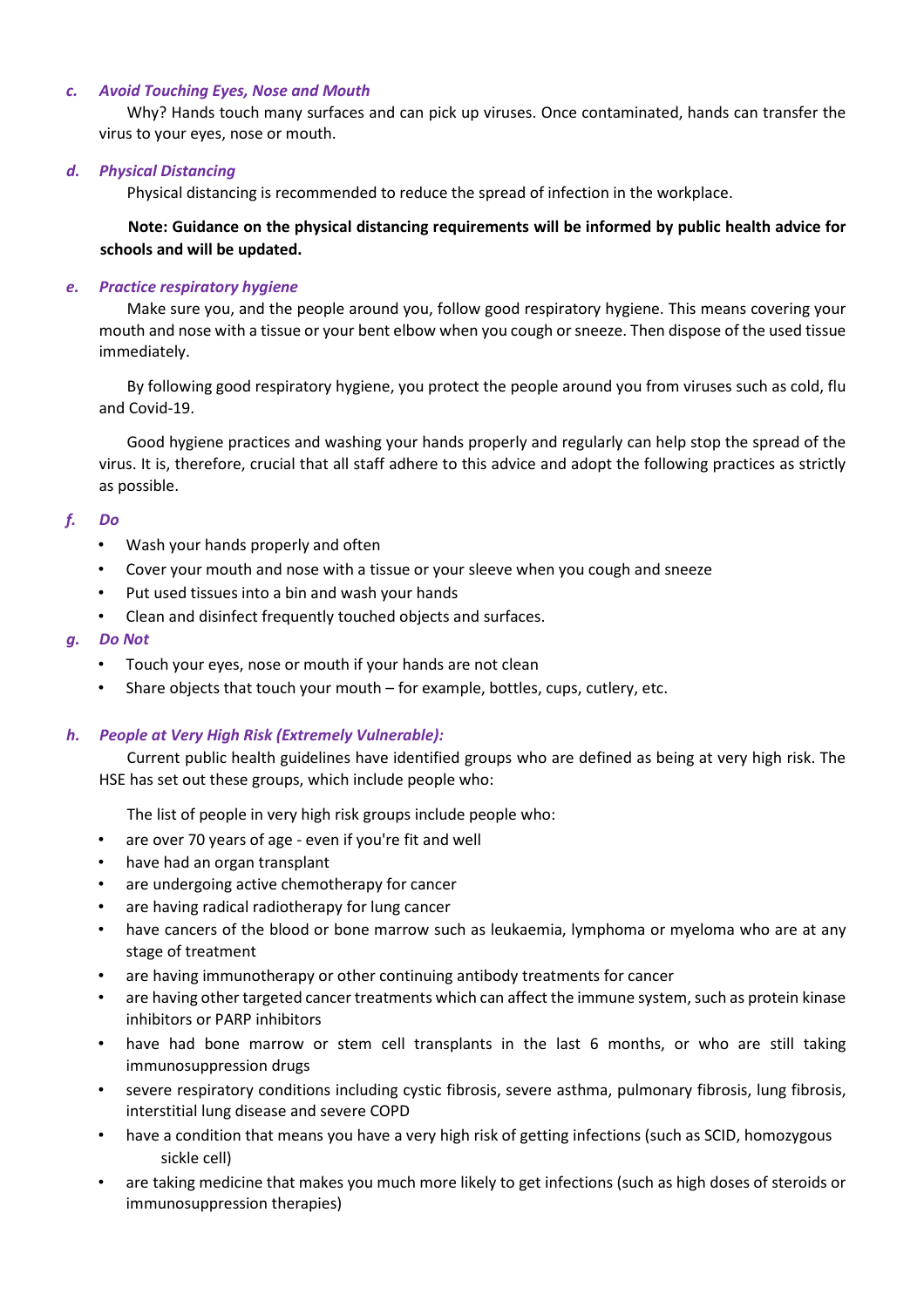### *c.**Avoid Touching Eyes, Nose and Mouth*

Why? Hands touch many surfaces and can pick up viruses. Once contaminated, hands can transfer the virus to your eyes, nose or mouth.

### *d.**Physical Distancing*

Physical distancing is recommended to reduce the spread of infection in the workplace.

**Note: Guidance on the physical distancing requirements will be informed by public health advice for schools and will be updated.** 

## *e.**Practice respiratory hygiene*

Make sure you, and the people around you, follow good respiratory hygiene. This means covering your mouth and nose with a tissue or your bent elbow when you cough or sneeze. Then dispose of the used tissue immediately.

By following good respiratory hygiene, you protect the people around you from viruses such as cold, flu and Covid-19.

Good hygiene practices and washing your hands properly and regularly can help stop the spread of the virus. It is, therefore, crucial that all staff adhere to this advice and adopt the following practices as strictly as possible.

#### *f.**Do*

- Wash your hands properly and often
- Cover your mouth and nose with a tissue or your sleeve when you cough and sneeze
- Put used tissues into a bin and wash your hands
- Clean and disinfect frequently touched objects and surfaces.

#### *g.**Do Not*

- Touch your eyes, nose or mouth if your hands are not clean
- Share objects that touch your mouth for example, bottles, cups, cutlery, etc.

#### *h.**People at Very High Risk (Extremely Vulnerable):*

Current public health guidelines have identified groups who are defined as being at very high risk. The HSE has set out these groups, which include people who:

The list of people in very high risk groups include people who:

- are over 70 years of age even if you're fit and well
- have had an organ transplant
- are undergoing active chemotherapy for cancer
- are having radical radiotherapy for lung cancer
- have cancers of the blood or bone marrow such as leukaemia, lymphoma or myeloma who are at any stage of treatment
- are having immunotherapy or other continuing antibody treatments for cancer
- are having other targeted cancer treatments which can affect the immune system, such as protein kinase inhibitors or PARP inhibitors
- have had bone marrow or stem cell transplants in the last 6 months, or who are still taking immunosuppression drugs
- severe respiratory conditions including cystic fibrosis, severe asthma, pulmonary fibrosis, lung fibrosis, interstitial lung disease and severe COPD
- have a condition that means you have a very high risk of getting infections (such as SCID, homozygous sickle cell)
- are taking medicine that makes you much more likely to get infections (such as high doses of steroids or immunosuppression therapies)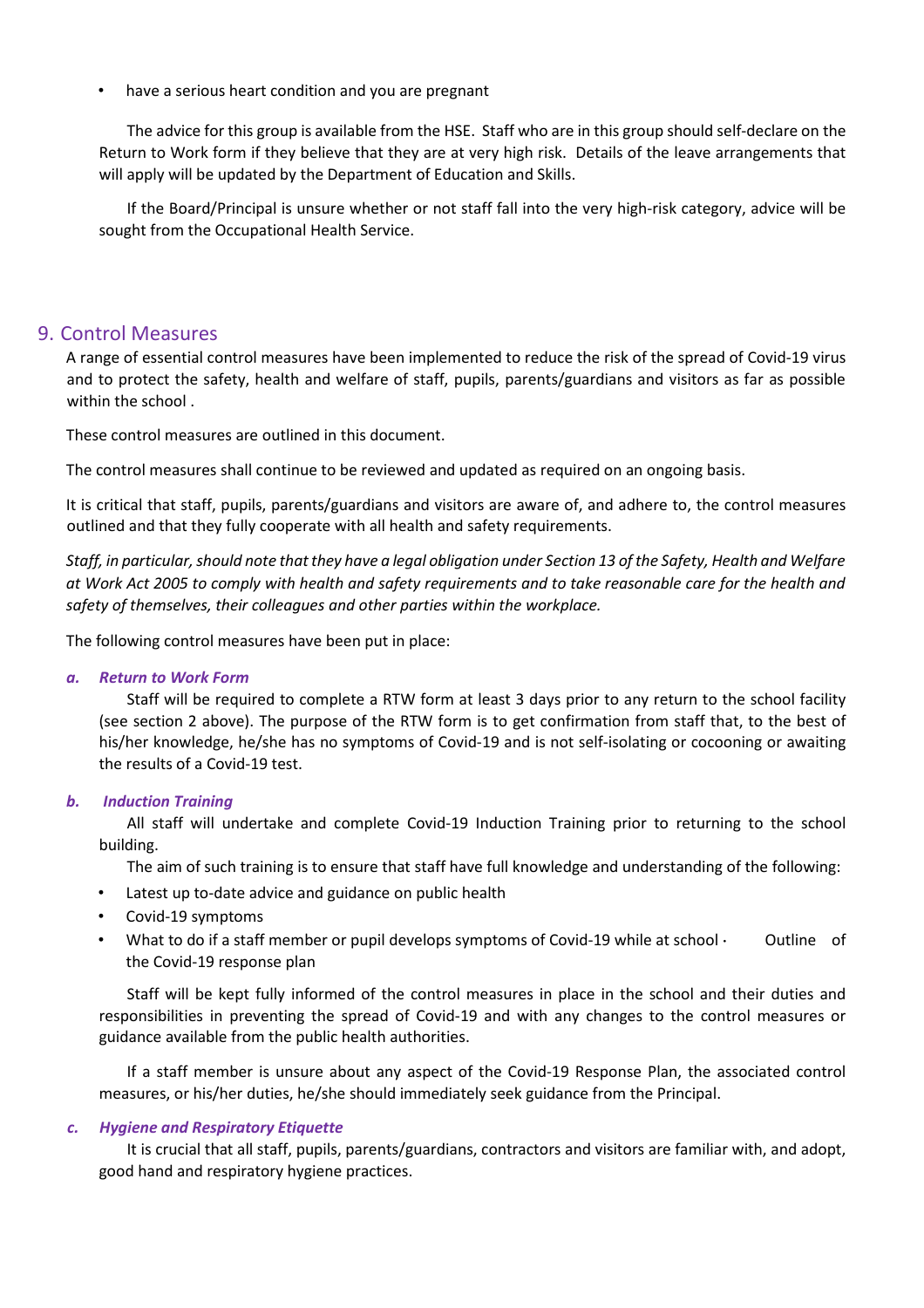• have a serious heart condition and you are pregnant

The advice for this group is available from the HSE. Staff who are in this group should self-declare on the Return to Work form if they believe that they are at very high risk. Details of the leave arrangements that will apply will be updated by the Department of Education and Skills.

If the Board/Principal is unsure whether or not staff fall into the very high-risk category, advice will be sought from the Occupational Health Service.

## 9. Control Measures

A range of essential control measures have been implemented to reduce the risk of the spread of Covid-19 virus and to protect the safety, health and welfare of staff, pupils, parents/guardians and visitors as far as possible within the school .

These control measures are outlined in this document.

The control measures shall continue to be reviewed and updated as required on an ongoing basis.

It is critical that staff, pupils, parents/guardians and visitors are aware of, and adhere to, the control measures outlined and that they fully cooperate with all health and safety requirements.

*Staff, in particular, should note that they have a legal obligation under Section 13 of the Safety, Health and Welfare at Work Act 2005 to comply with health and safety requirements and to take reasonable care for the health and safety of themselves, their colleagues and other parties within the workplace.* 

The following control measures have been put in place:

## *a.**Return to Work Form*

Staff will be required to complete a RTW form at least 3 days prior to any return to the school facility (see section 2 above). The purpose of the RTW form is to get confirmation from staff that, to the best of his/her knowledge, he/she has no symptoms of Covid-19 and is not self-isolating or cocooning or awaiting the results of a Covid-19 test.

## *b.**Induction Training*

All staff will undertake and complete Covid-19 Induction Training prior to returning to the school building.

The aim of such training is to ensure that staff have full knowledge and understanding of the following:

- Latest up to-date advice and guidance on public health
- Covid-19 symptoms
- What to do if a staff member or pupil develops symptoms of Covid-19 while at school Outline of the Covid-19 response plan

Staff will be kept fully informed of the control measures in place in the school and their duties and responsibilities in preventing the spread of Covid-19 and with any changes to the control measures or guidance available from the public health authorities.

If a staff member is unsure about any aspect of the Covid-19 Response Plan, the associated control measures, or his/her duties, he/she should immediately seek guidance from the Principal.

## *c.**Hygiene and Respiratory Etiquette*

It is crucial that all staff, pupils, parents/guardians, contractors and visitors are familiar with, and adopt, good hand and respiratory hygiene practices.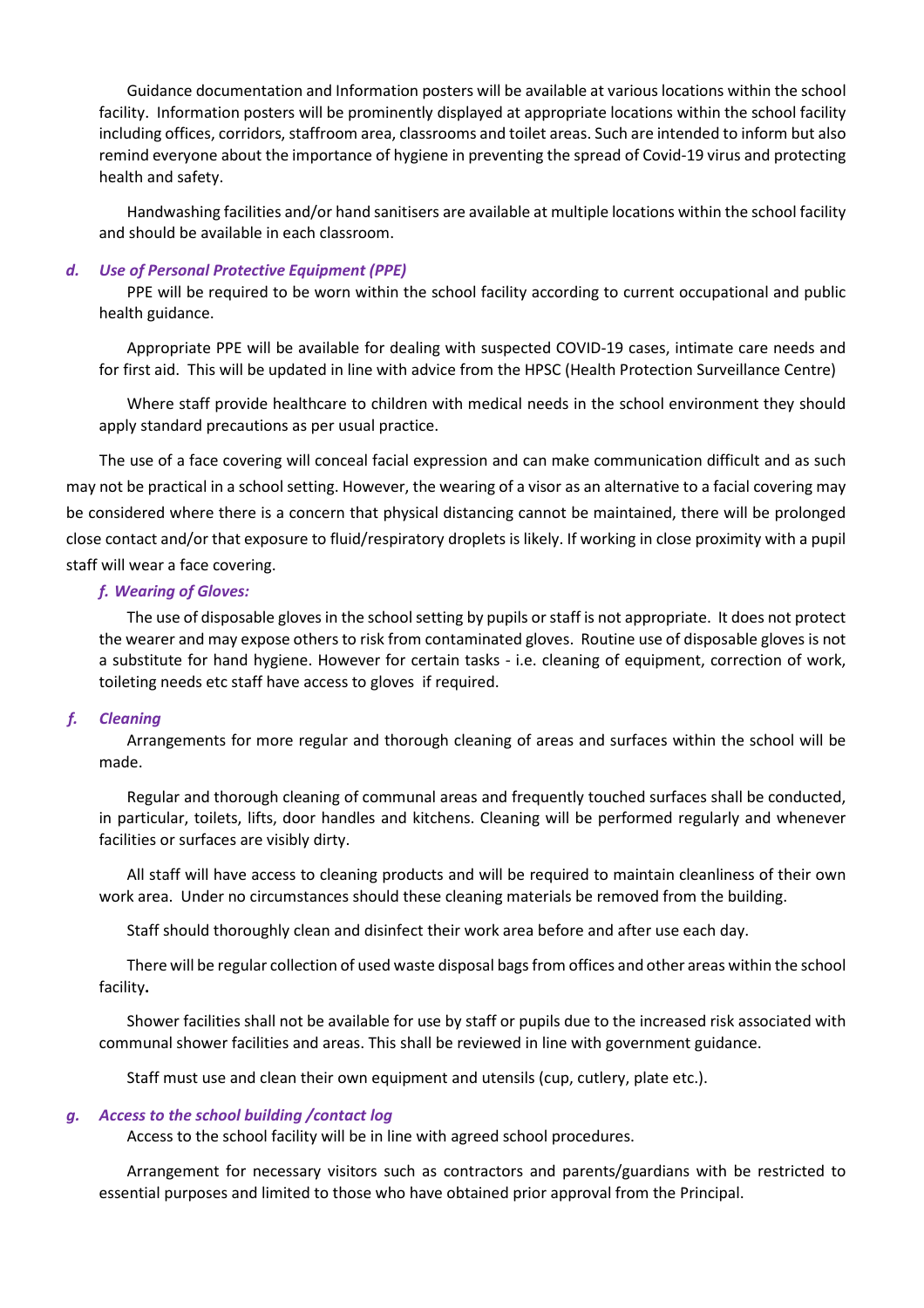Guidance documentation and Information posters will be available at various locations within the school facility. Information posters will be prominently displayed at appropriate locations within the school facility including offices, corridors, staffroom area, classrooms and toilet areas. Such are intended to inform but also remind everyone about the importance of hygiene in preventing the spread of Covid-19 virus and protecting health and safety.

Handwashing facilities and/or hand sanitisers are available at multiple locations within the school facility and should be available in each classroom.

#### *d.**Use of Personal Protective Equipment (PPE)*

PPE will be required to be worn within the school facility according to current occupational and public health guidance.

Appropriate PPE will be available for dealing with suspected COVID-19 cases, intimate care needs and for first aid. This will be updated in line with advice from the HPSC (Health Protection Surveillance Centre)

Where staff provide healthcare to children with medical needs in the school environment they should apply standard precautions as per usual practice.

The use of a face covering will conceal facial expression and can make communication difficult and as such may not be practical in a school setting. However, the wearing of a visor as an alternative to a facial covering may be considered where there is a concern that physical distancing cannot be maintained, there will be prolonged close contact and/or that exposure to fluid/respiratory droplets is likely. If working in close proximity with a pupil staff will wear a face covering.

#### *f. Wearing of Gloves:*

The use of disposable gloves in the school setting by pupils or staff is not appropriate. It does not protect the wearer and may expose others to risk from contaminated gloves. Routine use of disposable gloves is not a substitute for hand hygiene. However for certain tasks - i.e. cleaning of equipment, correction of work, toileting needs etc staff have access to gloves if required.

#### *f.**Cleaning*

Arrangements for more regular and thorough cleaning of areas and surfaces within the school will be made.

Regular and thorough cleaning of communal areas and frequently touched surfaces shall be conducted, in particular, toilets, lifts, door handles and kitchens. Cleaning will be performed regularly and whenever facilities or surfaces are visibly dirty.

All staff will have access to cleaning products and will be required to maintain cleanliness of their own work area. Under no circumstances should these cleaning materials be removed from the building.

Staff should thoroughly clean and disinfect their work area before and after use each day.

There will be regular collection of used waste disposal bags from offices and other areas within the school facility**.** 

Shower facilities shall not be available for use by staff or pupils due to the increased risk associated with communal shower facilities and areas. This shall be reviewed in line with government guidance.

Staff must use and clean their own equipment and utensils (cup, cutlery, plate etc.).

#### *g.**Access to the school building /contact log*

Access to the school facility will be in line with agreed school procedures.

Arrangement for necessary visitors such as contractors and parents/guardians with be restricted to essential purposes and limited to those who have obtained prior approval from the Principal.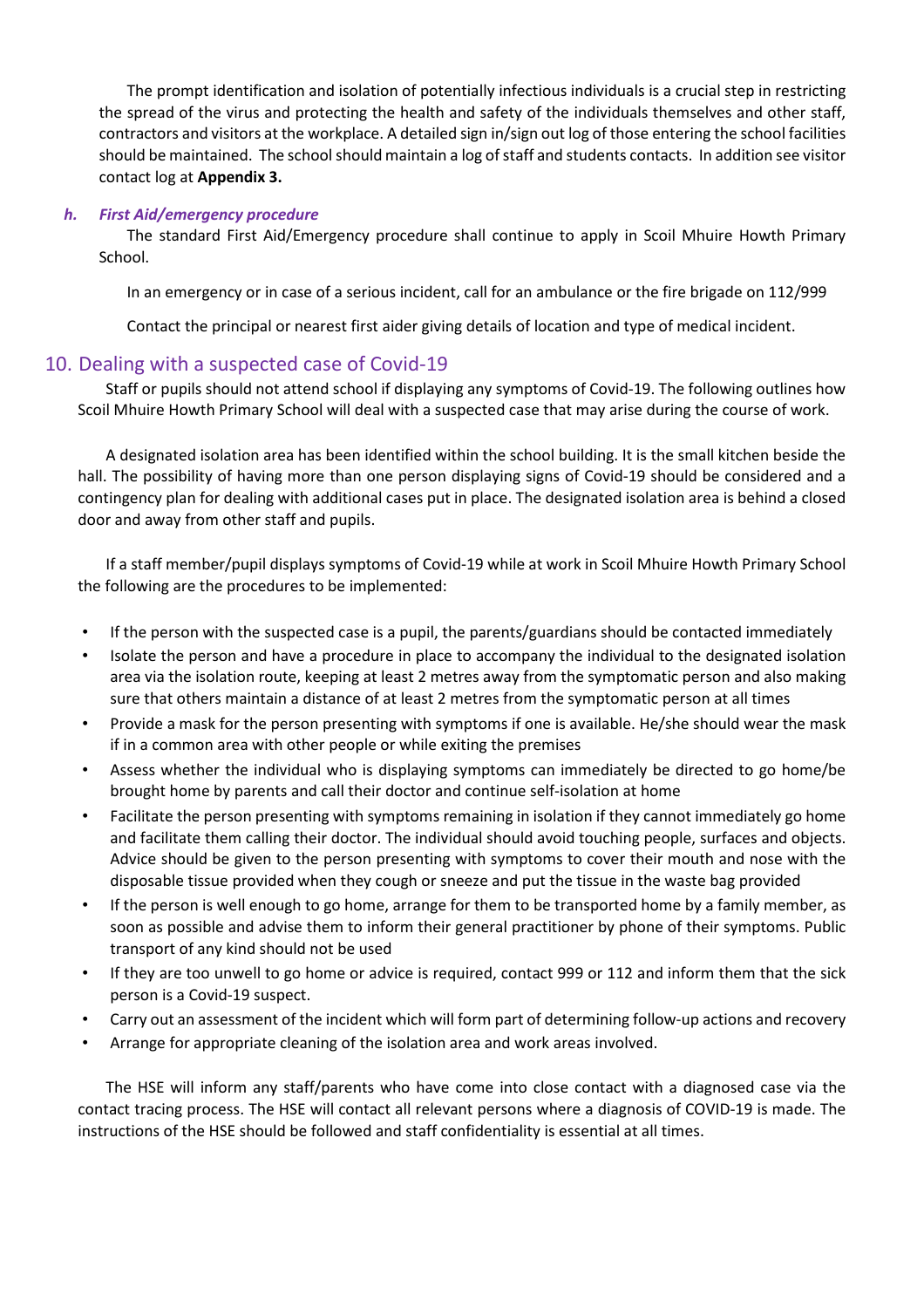The prompt identification and isolation of potentially infectious individuals is a crucial step in restricting the spread of the virus and protecting the health and safety of the individuals themselves and other staff, contractors and visitors at the workplace. A detailed sign in/sign out log of those entering the school facilities should be maintained. The school should maintain a log of staff and students contacts. In addition see visitor contact log at **Appendix 3.**

## *h.**First Aid/emergency procedure*

The standard First Aid/Emergency procedure shall continue to apply in Scoil Mhuire Howth Primary School.

In an emergency or in case of a serious incident, call for an ambulance or the fire brigade on 112/999

Contact the principal or nearest first aider giving details of location and type of medical incident.

## 10. Dealing with a suspected case of Covid-19

Staff or pupils should not attend school if displaying any symptoms of Covid-19. The following outlines how Scoil Mhuire Howth Primary School will deal with a suspected case that may arise during the course of work.

A designated isolation area has been identified within the school building. It is the small kitchen beside the hall. The possibility of having more than one person displaying signs of Covid-19 should be considered and a contingency plan for dealing with additional cases put in place. The designated isolation area is behind a closed door and away from other staff and pupils.

If a staff member/pupil displays symptoms of Covid-19 while at work in Scoil Mhuire Howth Primary School the following are the procedures to be implemented:

- If the person with the suspected case is a pupil, the parents/guardians should be contacted immediately
- Isolate the person and have a procedure in place to accompany the individual to the designated isolation area via the isolation route, keeping at least 2 metres away from the symptomatic person and also making sure that others maintain a distance of at least 2 metres from the symptomatic person at all times
- Provide a mask for the person presenting with symptoms if one is available. He/she should wear the mask if in a common area with other people or while exiting the premises
- Assess whether the individual who is displaying symptoms can immediately be directed to go home/be brought home by parents and call their doctor and continue self-isolation at home
- Facilitate the person presenting with symptoms remaining in isolation if they cannot immediately go home and facilitate them calling their doctor. The individual should avoid touching people, surfaces and objects. Advice should be given to the person presenting with symptoms to cover their mouth and nose with the disposable tissue provided when they cough or sneeze and put the tissue in the waste bag provided
- If the person is well enough to go home, arrange for them to be transported home by a family member, as soon as possible and advise them to inform their general practitioner by phone of their symptoms. Public transport of any kind should not be used
- If they are too unwell to go home or advice is required, contact 999 or 112 and inform them that the sick person is a Covid-19 suspect.
- Carry out an assessment of the incident which will form part of determining follow-up actions and recovery
- Arrange for appropriate cleaning of the isolation area and work areas involved.

The HSE will inform any staff/parents who have come into close contact with a diagnosed case via the contact tracing process. The HSE will contact all relevant persons where a diagnosis of COVID-19 is made. The instructions of the HSE should be followed and staff confidentiality is essential at all times.